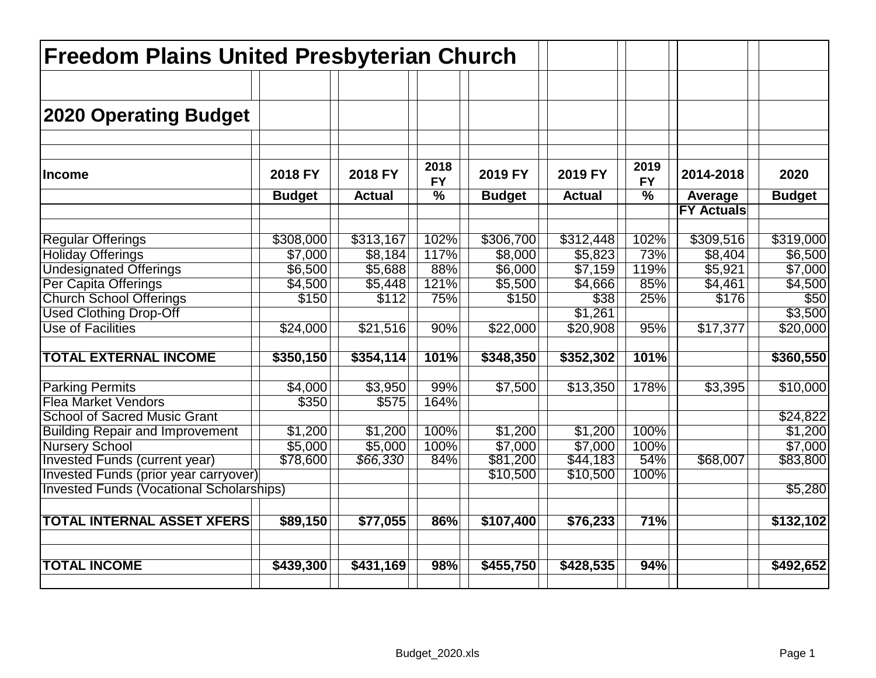| <b>Freedom Plains United Presbyterian Church</b> |               |               |                   |               |               |                          |                              |               |
|--------------------------------------------------|---------------|---------------|-------------------|---------------|---------------|--------------------------|------------------------------|---------------|
| 2020 Operating Budget                            |               |               |                   |               |               |                          |                              |               |
| <b>Income</b>                                    | 2018 FY       | 2018 FY       | 2018<br><b>FY</b> | 2019 FY       | 2019 FY       | 2019<br><b>FY</b>        | 2014-2018                    | 2020          |
|                                                  | <b>Budget</b> | <b>Actual</b> | $\frac{1}{2}$     | <b>Budget</b> | <b>Actual</b> | $\overline{\frac{9}{6}}$ | Average<br><b>FY Actuals</b> | <b>Budget</b> |
|                                                  |               |               |                   |               |               |                          |                              |               |
| <b>Regular Offerings</b>                         | \$308,000     | \$313,167     | 102%              | \$306,700     | \$312,448     | 102%                     | \$309,516                    | \$319,000     |
| <b>Holiday Offerings</b>                         | \$7,000       | \$8,184       | 117%              | \$8,000       | \$5,823       | 73%                      | \$8,404                      | \$6,500       |
| <b>Undesignated Offerings</b>                    | \$6,500       | \$5,688       | 88%               | \$6,000       | \$7,159       | 119%                     | \$5,921                      | \$7,000       |
| Per Capita Offerings                             | \$4,500       | \$5,448       | 121%              | \$5,500       | \$4,666       | 85%                      | \$4,461                      | \$4,500       |
| <b>Church School Offerings</b>                   | \$150         | \$112         | 75%               | \$150         | \$38          | 25%                      | \$176                        | \$50          |
| <b>Used Clothing Drop-Off</b>                    |               |               |                   |               | \$1,261       |                          |                              | \$3,500       |
| <b>Use of Facilities</b>                         | \$24,000      | \$21,516      | 90%               | \$22,000      | \$20,908      | 95%                      | \$17,377                     | \$20,000      |
| <b>TOTAL EXTERNAL INCOME</b>                     | \$350,150     | \$354,114     | 101%              | \$348,350     | \$352,302     | 101%                     |                              | \$360,550     |
| <b>Parking Permits</b>                           | \$4,000       | \$3,950       | 99%               | \$7,500       | \$13,350      | 178%                     | $\overline{$3,395}$          | \$10,000      |
| <b>Flea Market Vendors</b>                       | \$350         | \$575         | 164%              |               |               |                          |                              |               |
| <b>School of Sacred Music Grant</b>              |               |               |                   |               |               |                          |                              | \$24,822      |
| <b>Building Repair and Improvement</b>           | \$1,200       | \$1,200       | 100%              | \$1,200       | \$1,200       | 100%                     |                              | \$1,200       |
| <b>Nursery School</b>                            | \$5,000       | \$5,000       | 100%              | \$7,000       | \$7,000       | 100%                     |                              | \$7,000       |
| Invested Funds (current year)                    | \$78,600      | \$66,330      | 84%               | \$81,200      | \$44,183      | 54%                      | \$68,007                     | \$83,800      |
| Invested Funds (prior year carryover)            |               |               |                   | \$10,500      | \$10,500      | 100%                     |                              |               |
| <b>Invested Funds (Vocational Scholarships)</b>  |               |               |                   |               |               |                          |                              | \$5,280       |
| <b>TOTAL INTERNAL ASSET XFERS</b>                | \$89,150      | \$77,055      | 86%               | \$107,400     | \$76,233      | 71%                      |                              | \$132,102     |
| <b>TOTAL INCOME</b>                              | \$439,300     | \$431,169     | 98%               | \$455,750     | \$428,535     | 94%                      |                              | \$492,652     |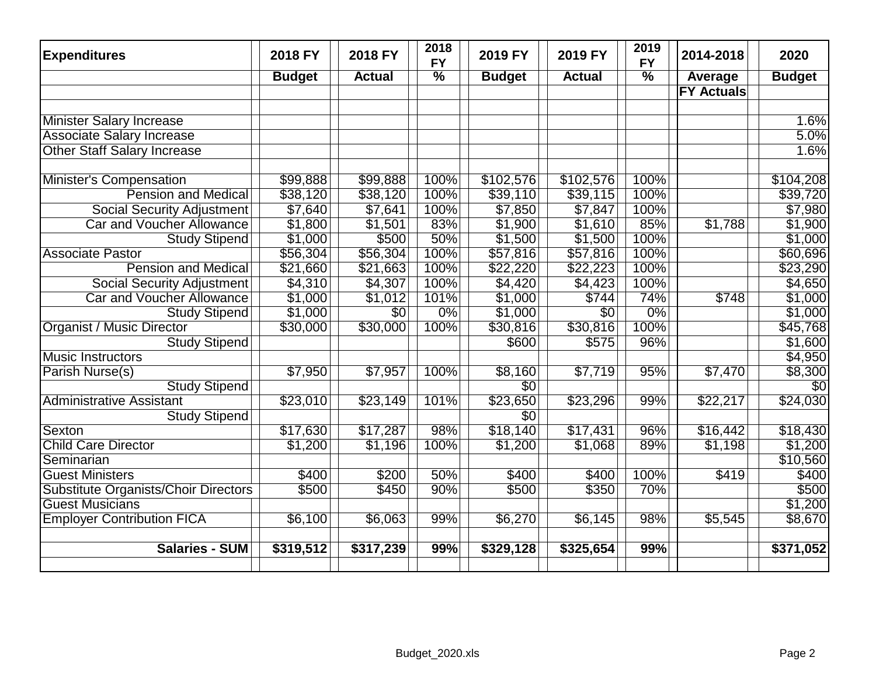| <b>Expenditures</b>                  | 2018 FY       | 2018 FY         | 2018<br><b>FY</b> | 2019 FY         | 2019 FY         | 2019<br><b>FY</b> | 2014-2018         | 2020            |
|--------------------------------------|---------------|-----------------|-------------------|-----------------|-----------------|-------------------|-------------------|-----------------|
|                                      | <b>Budget</b> | <b>Actual</b>   | $\frac{9}{6}$     | <b>Budget</b>   | <b>Actual</b>   | $\frac{9}{6}$     | Average           | <b>Budget</b>   |
|                                      |               |                 |                   |                 |                 |                   | <b>FY Actuals</b> |                 |
|                                      |               |                 |                   |                 |                 |                   |                   |                 |
| <b>Minister Salary Increase</b>      |               |                 |                   |                 |                 |                   |                   | 1.6%            |
| <b>Associate Salary Increase</b>     |               |                 |                   |                 |                 |                   |                   | 5.0%            |
| <b>Other Staff Salary Increase</b>   |               |                 |                   |                 |                 |                   |                   | 1.6%            |
|                                      |               |                 |                   |                 |                 |                   |                   |                 |
| <b>Minister's Compensation</b>       | \$99,888      | \$99,888        | 100%              | \$102,576       | \$102,576       | 100%              |                   | \$104,208       |
| <b>Pension and Medical</b>           | \$38,120      | \$38,120        | 100%              | \$39,110        | \$39,115        | 100%              |                   | \$39,720        |
| <b>Social Security Adjustment</b>    | \$7,640       | \$7,641         | 100%              | \$7,850         | \$7,847         | 100%              |                   | \$7,980         |
| <b>Car and Voucher Allowance</b>     | \$1,800       | \$1,501         | 83%               | \$1,900         | \$1,610         | 85%               | $\sqrt{$1,788}$   | \$1,900         |
| <b>Study Stipend</b>                 | \$1,000       | \$500           | 50%               | \$1,500         | \$1,500         | 100%              |                   | \$1,000         |
| <b>Associate Pastor</b>              | \$56,304      | \$56,304        | 100%              | \$57,816        | \$57,816        | 100%              |                   | \$60,696        |
| <b>Pension and Medical</b>           | \$21,660      | \$21,663        | 100%              | \$22,220        | \$22,223        | 100%              |                   | \$23,290        |
| <b>Social Security Adjustment</b>    | \$4,310       | \$4,307         | 100%              | \$4,420         | \$4,423         | 100%              |                   | \$4,650         |
| <b>Car and Voucher Allowance</b>     | \$1,000       | \$1,012         | 101%              | \$1,000         | \$744           | 74%               | \$748             | \$1,000         |
| <b>Study Stipend</b>                 | \$1,000       | $\overline{50}$ | $0\%$             | \$1,000         | $\overline{50}$ | $0\%$             |                   | \$1,000         |
| <b>Organist / Music Director</b>     | \$30,000      | \$30,000        | 100%              | \$30,816        | \$30,816        | 100%              |                   | \$45,768        |
| <b>Study Stipend</b>                 |               |                 |                   | \$600           | \$575           | 96%               |                   | \$1,600         |
| <b>Music Instructors</b>             |               |                 |                   |                 |                 |                   |                   | \$4,950         |
| Parish Nurse(s)                      | \$7,950       | \$7,957         | 100%              | \$8,160         | \$7,719         | 95%               | \$7,470           | \$8,300         |
| <b>Study Stipend</b>                 |               |                 |                   | $\overline{50}$ |                 |                   |                   | $\overline{50}$ |
| <b>Administrative Assistant</b>      | \$23,010      | \$23,149        | 101%              | \$23,650        | \$23,296        | 99%               | \$22,217          | \$24,030        |
| <b>Study Stipend</b>                 |               |                 |                   | $\overline{50}$ |                 |                   |                   |                 |
| Sexton                               | \$17,630      | \$17,287        | 98%               | \$18,140        | \$17,431        | 96%               | \$16,442          | \$18,430        |
| <b>Child Care Director</b>           | \$1,200       | \$1,196         | 100%              | $\sqrt{$1,200}$ | \$1,068         | 89%               | $\sqrt{$1,198}$   | \$1,200         |
| Seminarian                           |               |                 |                   |                 |                 |                   |                   | \$10,560        |
| <b>Guest Ministers</b>               | \$400         | \$200           | 50%               | \$400           | \$400           | 100%              | \$419             | \$400           |
| Substitute Organists/Choir Directors | \$500         | \$450           | 90%               | \$500           | \$350           | 70%               |                   | \$500           |
| <b>Guest Musicians</b>               |               |                 |                   |                 |                 |                   |                   | \$1,200         |
| <b>Employer Contribution FICA</b>    | \$6,100       | \$6,063         | 99%               | \$6,270         | \$6,145         | 98%               | \$5,545           | \$8,670         |
|                                      |               |                 |                   |                 |                 |                   |                   |                 |
| <b>Salaries - SUM</b>                | \$319,512     | \$317,239       | 99%               | \$329,128       | \$325,654       | 99%               |                   | \$371,052       |
|                                      |               |                 |                   |                 |                 |                   |                   |                 |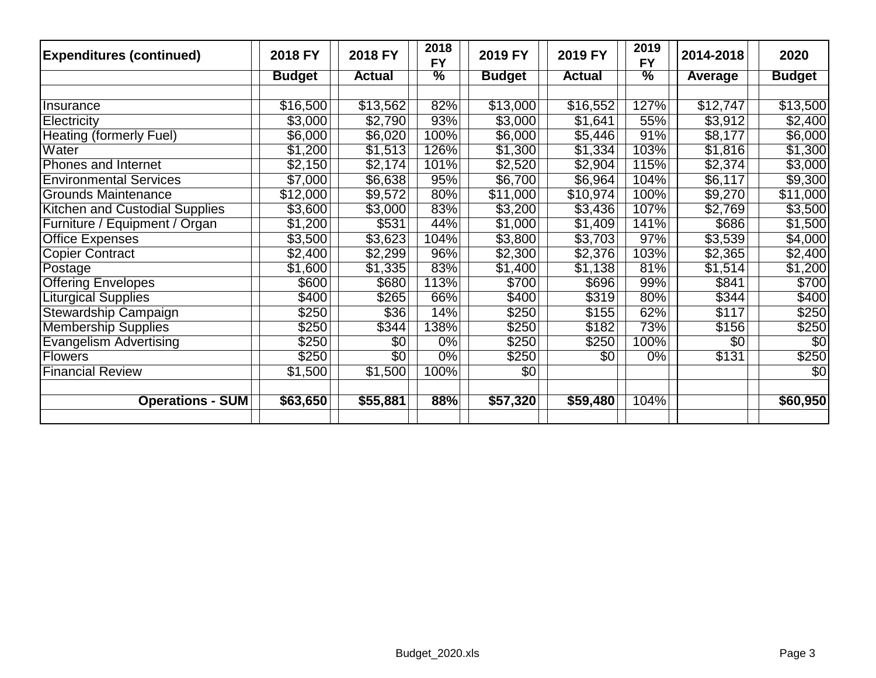| <b>Expenditures (continued)</b> | 2018 FY             | 2018 FY         | 2018<br><b>FY</b> | 2019 FY              | 2019 FY         | 2019<br><b>FY</b> | 2014-2018       | 2020            |
|---------------------------------|---------------------|-----------------|-------------------|----------------------|-----------------|-------------------|-----------------|-----------------|
|                                 | <b>Budget</b>       | <b>Actual</b>   | $\frac{9}{6}$     | <b>Budget</b>        | <b>Actual</b>   | $\frac{0}{2}$     | Average         | <b>Budget</b>   |
|                                 |                     |                 |                   |                      |                 |                   |                 |                 |
| Insurance                       | \$16,500            | \$13,562        | 82%               | \$13,000             | \$16,552        | 127%              | \$12,747        | \$13,500        |
| Electricity                     | \$3,000             | \$2,790         | 93%               | \$3,000              | \$1,641         | 55%               | \$3,912         | \$2,400         |
| <b>Heating (formerly Fuel)</b>  | \$6,000             | \$6,020         | 100%              | \$6,000              | \$5,446         | 91%               | \$8,177         | \$6,000         |
| Water                           | \$1,200             | \$1,513         | 126%              | \$1,300              | \$1,334         | 103%              | \$1,816         | \$1,300         |
| Phones and Internet             | \$2,150             | \$2,174         | 101%              | \$2,520              | $\sqrt{$2,904}$ | 115%              | \$2,374         | \$3,000         |
| <b>Environmental Services</b>   | $\overline{$}7,000$ | \$6,638         | 95%               | \$6,700              | \$6,964         | 104%              | \$6,117         | \$9,300         |
| <b>Grounds Maintenance</b>      | \$12,000            | \$9,572         | 80%               | \$11,000             | \$10,974        | 100%              | \$9,270         | \$11,000        |
| Kitchen and Custodial Supplies  | \$3,600             | \$3,000         | 83%               | \$3,200              | \$3,436         | 107%              | \$2,769         | \$3,500         |
| Furniture / Equipment / Organ   | \$1,200             | \$531           | 44%               | \$1,000              | \$1,409         | 141%              | \$686           | \$1,500         |
| <b>Office Expenses</b>          | \$3,500             | \$3,623         | 104%              | \$3,800              | \$3,703         | 97%               | \$3,539         | \$4,000         |
| <b>Copier Contract</b>          | \$2,400             | \$2,299         | 96%               | \$2,300              | \$2,376         | 103%              | \$2,365         | \$2,400         |
| Postage                         | \$1,600             | \$1,335         | 83%               | \$1,400              | \$1,138         | 81%               | \$1,514         | \$1,200         |
| <b>Offering Envelopes</b>       | \$600               | \$680           | 113%              | \$700                | \$696           | 99%               | \$841           | \$700           |
| <b>Liturgical Supplies</b>      | \$400               | \$265           | 66%               | \$400                | \$319           | 80%               | \$344           | \$400           |
| Stewardship Campaign            | \$250               | \$36            | 14%               | \$250                | \$155           | 62%               | \$117           | \$250           |
| <b>Membership Supplies</b>      | \$250               | \$344           | 138%              | \$250                | \$182           | 73%               | \$156           | \$250           |
| <b>Evangelism Advertising</b>   | \$250               | $\overline{30}$ | $0\%$             | \$250                | \$250           | 100%              | $\overline{50}$ | $\overline{50}$ |
| <b>Flowers</b>                  | \$250               | $\overline{30}$ | $0\%$             | \$250                | $\overline{50}$ | $0\%$             | \$131           | \$250           |
| <b>Financial Review</b>         | \$1,500             | \$1,500         | 100%              | $\overline{30}$      |                 |                   |                 | $\overline{30}$ |
|                                 |                     |                 |                   |                      |                 |                   |                 |                 |
| <b>Operations - SUM</b>         | \$63,650            | \$55,881        | 88%               | $\overline{$}57,320$ | \$59,480        | 104%              |                 | \$60,950        |
|                                 |                     |                 |                   |                      |                 |                   |                 |                 |